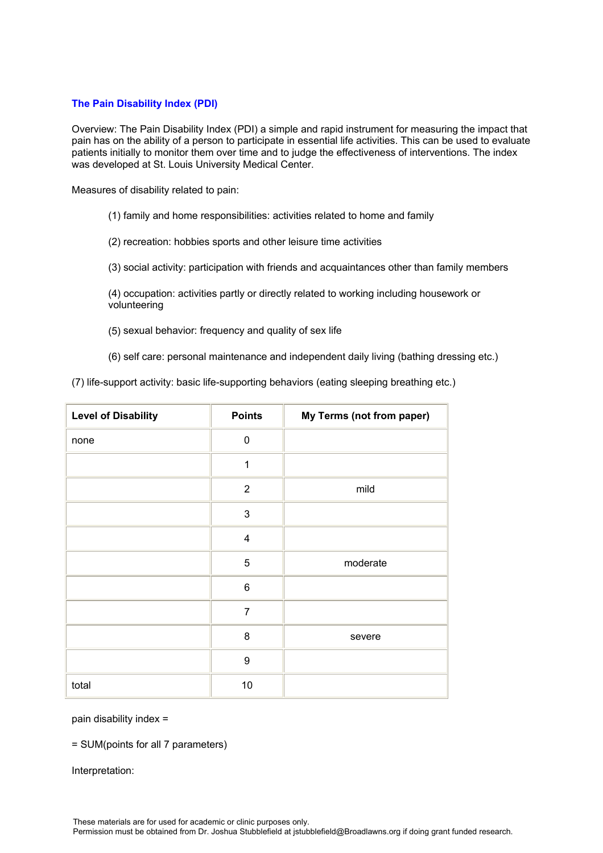## **The Pain Disability Index (PDI)**

Overview: The Pain Disability Index (PDI) a simple and rapid instrument for measuring the impact that pain has on the ability of a person to participate in essential life activities. This can be used to evaluate patients initially to monitor them over time and to judge the effectiveness of interventions. The index was developed at St. Louis University Medical Center.

Measures of disability related to pain:

- (1) family and home responsibilities: activities related to home and family
- (2) recreation: hobbies sports and other leisure time activities
- (3) social activity: participation with friends and acquaintances other than family members

(4) occupation: activities partly or directly related to working including housework or volunteering

(5) sexual behavior: frequency and quality of sex life

(6) self care: personal maintenance and independent daily living (bathing dressing etc.)

(7) life-support activity: basic life-supporting behaviors (eating sleeping breathing etc.)

| <b>Level of Disability</b> | <b>Points</b>           | My Terms (not from paper) |
|----------------------------|-------------------------|---------------------------|
| none                       | $\mathbf 0$             |                           |
|                            | $\mathbf{1}$            |                           |
|                            | $\overline{2}$          | mild                      |
|                            | $\mathsf 3$             |                           |
|                            | $\overline{\mathbf{4}}$ |                           |
|                            | 5                       | moderate                  |
|                            | $\,6$                   |                           |
|                            | $\overline{7}$          |                           |
|                            | 8                       | severe                    |
|                            | 9                       |                           |
| total                      | 10                      |                           |

pain disability index =

= SUM(points for all 7 parameters)

Interpretation: